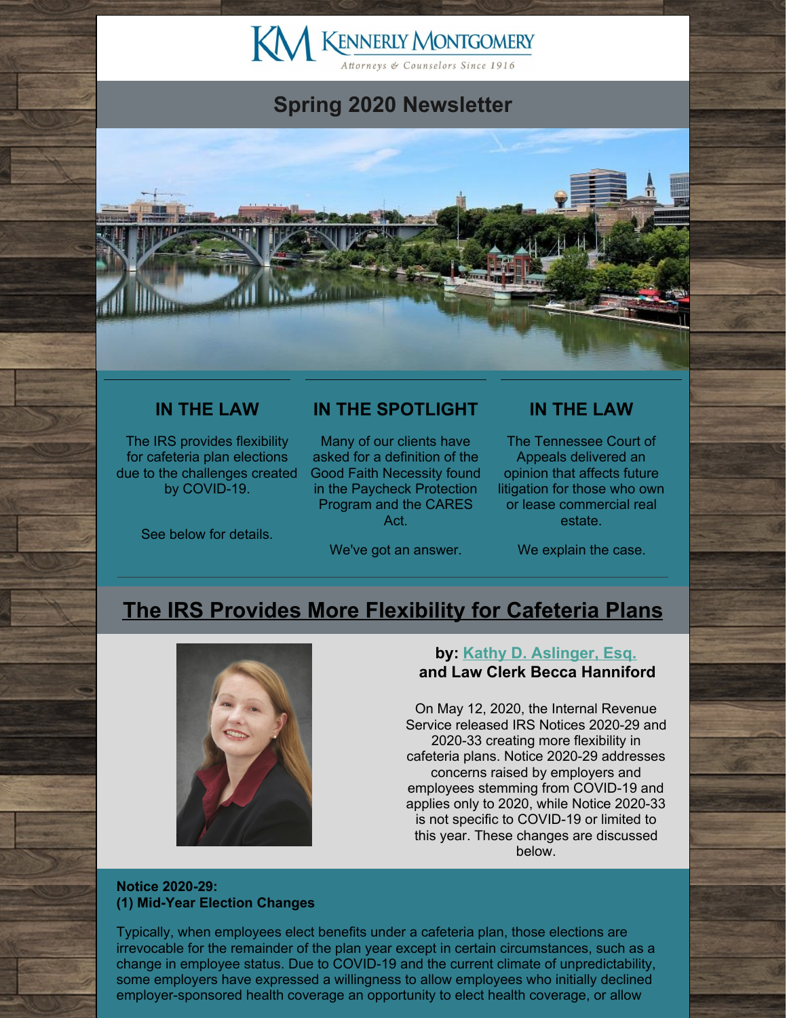# KM KENNERLY MONTGOMERY

# **Spring 2020 Newsletter**



## **IN THE LAW**

The IRS provides flexibility for cafeteria plan elections due to the challenges created by COVID-19.

See below for details.

## **IN THE SPOTLIGHT**

Many of our clients have asked for a definition of the Good Faith Necessity found in the Paycheck Protection Program and the CARES Act.

We've got an answer.

## **IN THE LAW**

The Tennessee Court of Appeals delivered an opinion that affects future litigation for those who own or lease commercial real estate.

We explain the case.

# **The IRS Provides More [Flexibility](http://www.kmfpc.com/Articles/the_irs_provides_more_flexibility_for_cafeteria_plans.aspx) for Cafeteria Plans**



## **by: Kathy D. [Aslinger,](http://www.kmfpc.com/attorneys/kathy_d_aslinger.aspx) Esq. and Law Clerk Becca Hanniford**

On May 12, 2020, the Internal Revenue Service released IRS Notices 2020-29 and 2020-33 creating more flexibility in cafeteria plans. Notice 2020-29 addresses concerns raised by employers and employees stemming from COVID-19 and applies only to 2020, while Notice 2020-33 is not specific to COVID-19 or limited to this year. These changes are discussed below.

#### **Notice 2020-29: (1) Mid-Year Election Changes**

Typically, when employees elect benefits under a cafeteria plan, those elections are irrevocable for the remainder of the plan year except in certain circumstances, such as a change in employee status. Due to COVID-19 and the current climate of unpredictability, some employers have expressed a willingness to allow employees who initially declined employer-sponsored health coverage an opportunity to elect health coverage, or allow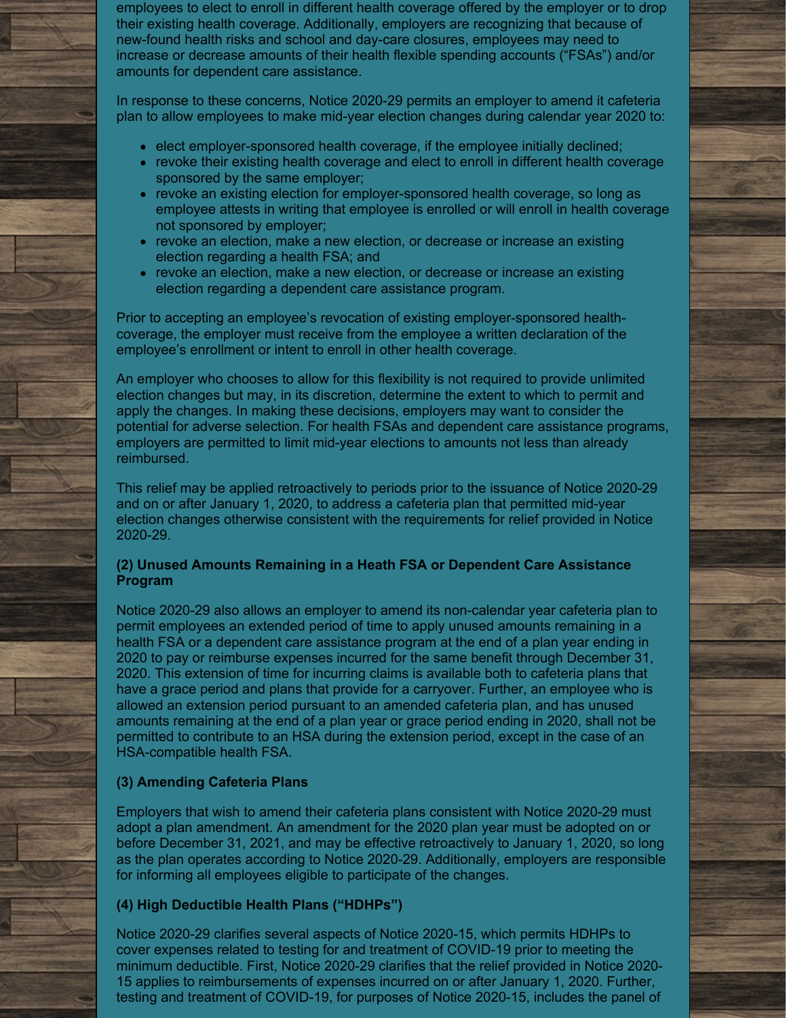employees to elect to enroll in different health coverage offered by the employer or to drop their existing health coverage. Additionally, employers are recognizing that because of new-found health risks and school and day-care closures, employees may need to increase or decrease amounts of their health flexible spending accounts ("FSAs") and/or amounts for dependent care assistance.

In response to these concerns, Notice 2020-29 permits an employer to amend it cafeteria plan to allow employees to make mid-year election changes during calendar year 2020 to:

- $\bullet$  elect employer-sponsored health coverage, if the employee initially declined;
- revoke their existing health coverage and elect to enroll in different health coverage sponsored by the same employer;
- revoke an existing election for employer-sponsored health coverage, so long as employee attests in writing that employee is enrolled or will enroll in health coverage not sponsored by employer;
- revoke an election, make a new election, or decrease or increase an existing election regarding a health FSA; and
- revoke an election, make a new election, or decrease or increase an existing election regarding a dependent care assistance program.

Prior to accepting an employee's revocation of existing employer-sponsored healthcoverage, the employer must receive from the employee a written declaration of the employee's enrollment or intent to enroll in other health coverage.

An employer who chooses to allow for this flexibility is not required to provide unlimited election changes but may, in its discretion, determine the extent to which to permit and apply the changes. In making these decisions, employers may want to consider the potential for adverse selection. For health FSAs and dependent care assistance programs, employers are permitted to limit mid-year elections to amounts not less than already reimbursed.

This relief may be applied retroactively to periods prior to the issuance of Notice 2020-29 and on or after January 1, 2020, to address a cafeteria plan that permitted mid-year election changes otherwise consistent with the requirements for relief provided in Notice 2020-29.

### **(2) Unused Amounts Remaining in a Heath FSA or Dependent Care Assistance Program**

Notice 2020-29 also allows an employer to amend its non-calendar year cafeteria plan to permit employees an extended period of time to apply unused amounts remaining in a health FSA or a dependent care assistance program at the end of a plan year ending in 2020 to pay or reimburse expenses incurred for the same benefit through December 31, 2020. This extension of time for incurring claims is available both to cafeteria plans that have a grace period and plans that provide for a carryover. Further, an employee who is allowed an extension period pursuant to an amended cafeteria plan, and has unused amounts remaining at the end of a plan year or grace period ending in 2020, shall not be permitted to contribute to an HSA during the extension period, except in the case of an HSA-compatible health FSA.

## **(3) Amending Cafeteria Plans**

Employers that wish to amend their cafeteria plans consistent with Notice 2020-29 must adopt a plan amendment. An amendment for the 2020 plan year must be adopted on or before December 31, 2021, and may be effective retroactively to January 1, 2020, so long as the plan operates according to Notice 2020-29. Additionally, employers are responsible for informing all employees eligible to participate of the changes.

### **(4) High Deductible Health Plans ("HDHPs")**

Notice 2020-29 clarifies several aspects of Notice 2020-15, which permits HDHPs to cover expenses related to testing for and treatment of COVID-19 prior to meeting the minimum deductible. First, Notice 2020-29 clarifies that the relief provided in Notice 2020- 15 applies to reimbursements of expenses incurred on or after January 1, 2020. Further, testing and treatment of COVID-19, for purposes of Notice 2020-15, includes the panel of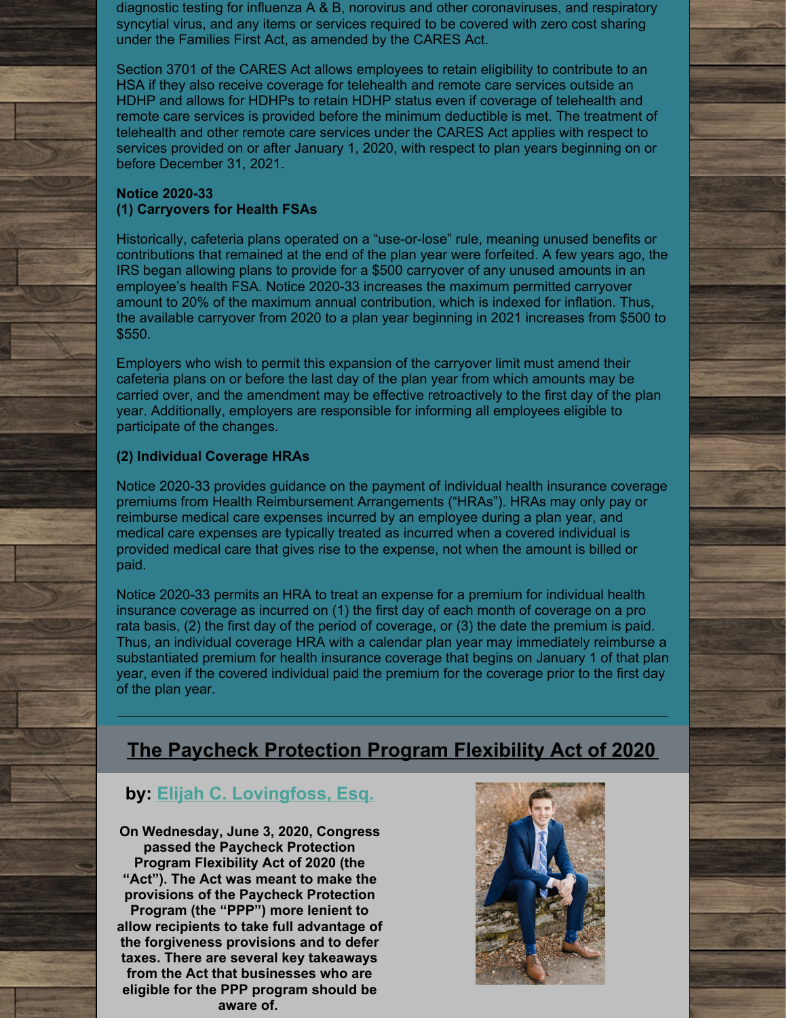diagnostic testing for influenza A & B, norovirus and other coronaviruses, and respiratory syncytial virus, and any items or services required to be covered with zero cost sharing under the Families First Act, as amended by the CARES Act.

Section 3701 of the CARES Act allows employees to retain eligibility to contribute to an HSA if they also receive coverage for telehealth and remote care services outside an HDHP and allows for HDHPs to retain HDHP status even if coverage of telehealth and remote care services is provided before the minimum deductible is met. The treatment of telehealth and other remote care services under the CARES Act applies with respect to services provided on or after January 1, 2020, with respect to plan years beginning on or before December 31, 2021.

#### **Notice 2020-33 (1) Carryovers for Health FSAs**

Historically, cafeteria plans operated on a "use-or-lose" rule, meaning unused benefits or contributions that remained at the end of the plan year were forfeited. A few years ago, the IRS began allowing plans to provide for a \$500 carryover of any unused amounts in an employee's health FSA. Notice 2020-33 increases the maximum permitted carryover amount to 20% of the maximum annual contribution, which is indexed for inflation. Thus, the available carryover from 2020 to a plan year beginning in 2021 increases from \$500 to \$550.

Employers who wish to permit this expansion of the carryover limit must amend their cafeteria plans on or before the last day of the plan year from which amounts may be carried over, and the amendment may be effective retroactively to the first day of the plan year. Additionally, employers are responsible for informing all employees eligible to participate of the changes.

## **(2) Individual Coverage HRAs**

Notice 2020-33 provides guidance on the payment of individual health insurance coverage premiums from Health Reimbursement Arrangements ("HRAs"). HRAs may only pay or reimburse medical care expenses incurred by an employee during a plan year, and medical care expenses are typically treated as incurred when a covered individual is provided medical care that gives rise to the expense, not when the amount is billed or paid.

Notice 2020-33 permits an HRA to treat an expense for a premium for individual health insurance coverage as incurred on (1) the first day of each month of coverage on a pro rata basis, (2) the first day of the period of coverage, or (3) the date the premium is paid. Thus, an individual coverage HRA with a calendar plan year may immediately reimburse a substantiated premium for health insurance coverage that begins on January 1 of that plan year, even if the covered individual paid the premium for the coverage prior to the first day of the plan year.

# **The Paycheck [Protection](http://www.kmfpc.com/Articles/paycheck_protection_program_flexibility_act_of_2020.aspx) Program Flexibility Act of 2020**

## **by: Elijah C. [Lovingfoss,](http://www.kmfpc.com/attorneys/elijah_c_lovingfoss.aspx) Esq.**

**On Wednesday, June 3, 2020, Congress passed the Paycheck Protection Program Flexibility Act of 2020 (the "Act"). The Act was meant to make the provisions of the Paycheck Protection Program (the "PPP") more lenient to allow recipients to take full advantage of the forgiveness provisions and to defer taxes. There are several key takeaways from the Act that businesses who are eligible for the PPP program should be aware of.**

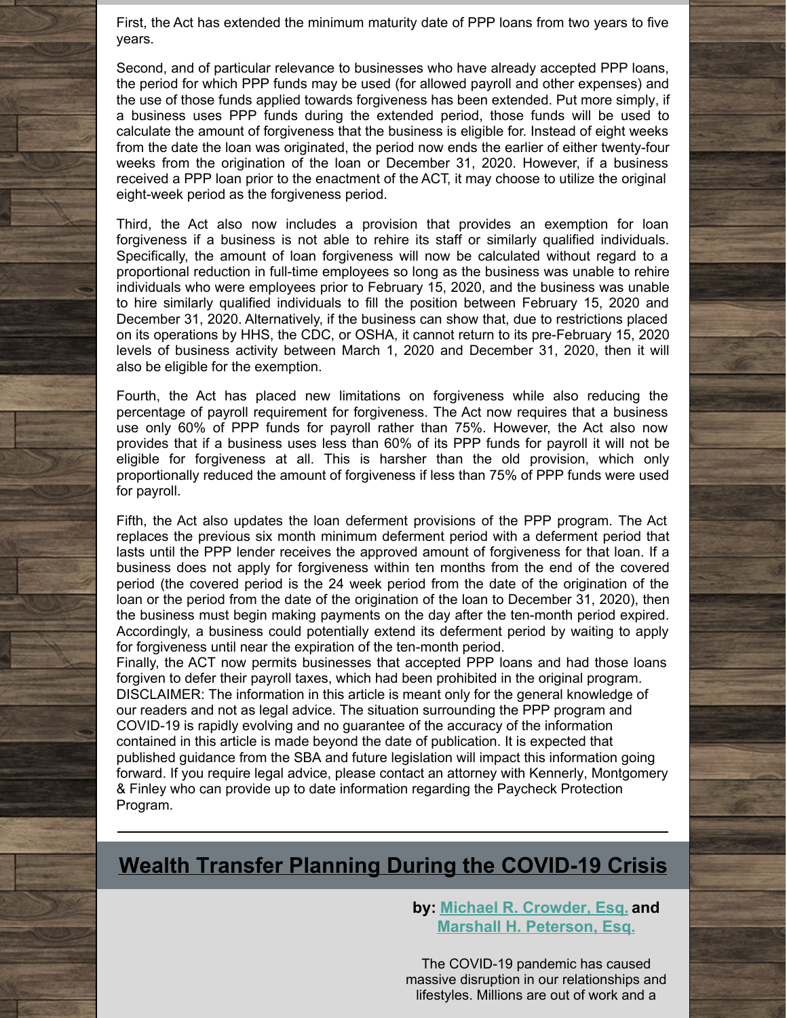First, the Act has extended the minimum maturity date of PPP loans from two years to five years.

Second, and of particular relevance to businesses who have already accepted PPP loans, the period for which PPP funds may be used (for allowed payroll and other expenses) and the use of those funds applied towards forgiveness has been extended. Put more simply, if a business uses PPP funds during the extended period, those funds will be used to calculate the amount of forgiveness that the business is eligible for. Instead of eight weeks from the date the loan was originated, the period now ends the earlier of either twenty-four weeks from the origination of the loan or December 31, 2020. However, if a business received a PPP loan prior to the enactment of the ACT, it may choose to utilize the original eight-week period as the forgiveness period.

Third, the Act also now includes a provision that provides an exemption for loan forgiveness if a business is not able to rehire its staff or similarly qualified individuals. Specifically, the amount of loan forgiveness will now be calculated without regard to a proportional reduction in full-time employees so long as the business was unable to rehire individuals who were employees prior to February 15, 2020, and the business was unable to hire similarly qualified individuals to fill the position between February 15, 2020 and December 31, 2020. Alternatively, if the business can show that, due to restrictions placed on its operations by HHS, the CDC, or OSHA, it cannot return to its pre-February 15, 2020 levels of business activity between March 1, 2020 and December 31, 2020, then it will also be eligible for the exemption.

Fourth, the Act has placed new limitations on forgiveness while also reducing the percentage of payroll requirement for forgiveness. The Act now requires that a business use only 60% of PPP funds for payroll rather than 75%. However, the Act also now provides that if a business uses less than 60% of its PPP funds for payroll it will not be eligible for forgiveness at all. This is harsher than the old provision, which only proportionally reduced the amount of forgiveness if less than 75% of PPP funds were used for payroll.

Fifth, the Act also updates the loan deferment provisions of the PPP program. The Act replaces the previous six month minimum deferment period with a deferment period that lasts until the PPP lender receives the approved amount of forgiveness for that loan. If a business does not apply for forgiveness within ten months from the end of the covered period (the covered period is the 24 week period from the date of the origination of the loan or the period from the date of the origination of the loan to December 31, 2020), then the business must begin making payments on the day after the ten-month period expired. Accordingly, a business could potentially extend its deferment period by waiting to apply for forgiveness until near the expiration of the ten-month period.

Finally, the ACT now permits businesses that accepted PPP loans and had those loans forgiven to defer their payroll taxes, which had been prohibited in the original program. DISCLAIMER: The information in this article is meant only for the general knowledge of our readers and not as legal advice. The situation surrounding the PPP program and COVID-19 is rapidly evolving and no guarantee of the accuracy of the information contained in this article is made beyond the date of publication. It is expected that published guidance from the SBA and future legislation will impact this information going forward. If you require legal advice, please contact an attorney with Kennerly, Montgomery & Finley who can provide up to date information regarding the Paycheck Protection Program.

# **Wealth Transfer Planning During the [COVID-19](http://www.kmfpc.com/Articles/wealth_transfer_planning_during_the_covid-19_crisis.aspx) Crisis**

**by: Michael R. [Crowder,](http://www.kmfpc.com/attorneys/michael_r_crowder.aspx) Esq. and Marshall H. [Peterson,](http://www.kmfpc.com/attorneys/marshall_h_peterson.aspx) Esq.**

The COVID-19 pandemic has caused massive disruption in our relationships and lifestyles. Millions are out of work and a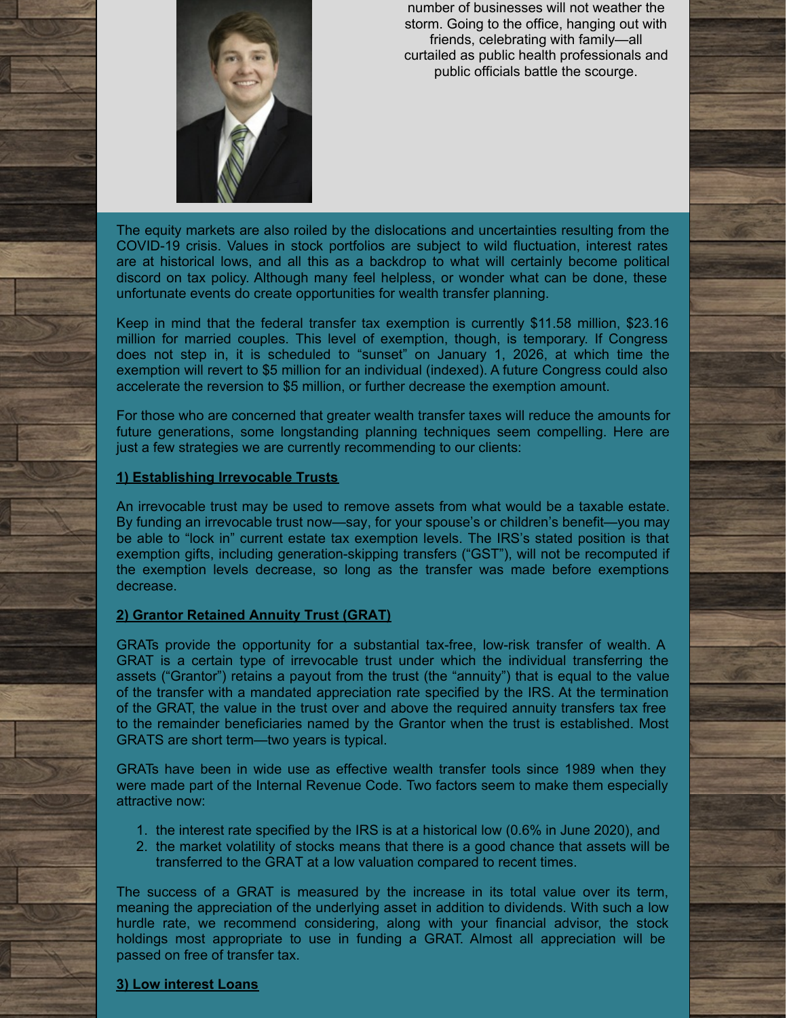

number of businesses will not weather the storm. Going to the office, hanging out with friends, celebrating with family—all curtailed as public health professionals and public officials battle the scourge.

The equity markets are also roiled by the dislocations and uncertainties resulting from the COVID-19 crisis. Values in stock portfolios are subject to wild fluctuation, interest rates are at historical lows, and all this as a backdrop to what will certainly become political discord on tax policy. Although many feel helpless, or wonder what can be done, these unfortunate events do create opportunities for wealth transfer planning.

Keep in mind that the federal transfer tax exemption is currently \$11.58 million, \$23.16 million for married couples. This level of exemption, though, is temporary. If Congress does not step in, it is scheduled to "sunset" on January 1, 2026, at which time the exemption will revert to \$5 million for an individual (indexed). A future Congress could also accelerate the reversion to \$5 million, or further decrease the exemption amount.

For those who are concerned that greater wealth transfer taxes will reduce the amounts for future generations, some longstanding planning techniques seem compelling. Here are just a few strategies we are currently recommending to our clients:

#### **1) Establishing Irrevocable Trusts**

An irrevocable trust may be used to remove assets from what would be a taxable estate. By funding an irrevocable trust now—say, for your spouse's or children's benefit—you may be able to "lock in" current estate tax exemption levels. The IRS's stated position is that exemption gifts, including generation-skipping transfers ("GST"), will not be recomputed if the exemption levels decrease, so long as the transfer was made before exemptions decrease.

#### **2) Grantor Retained Annuity Trust (GRAT)**

GRATs provide the opportunity for a substantial tax-free, low-risk transfer of wealth. A GRAT is a certain type of irrevocable trust under which the individual transferring the assets ("Grantor") retains a payout from the trust (the "annuity") that is equal to the value of the transfer with a mandated appreciation rate specified by the IRS. At the termination of the GRAT, the value in the trust over and above the required annuity transfers tax free to the remainder beneficiaries named by the Grantor when the trust is established. Most GRATS are short term—two years is typical.

GRATs have been in wide use as effective wealth transfer tools since 1989 when they were made part of the Internal Revenue Code. Two factors seem to make them especially attractive now:

- 1. the interest rate specified by the IRS is at a historical low (0.6% in June 2020), and
- 2. the market volatility of stocks means that there is a good chance that assets will be transferred to the GRAT at a low valuation compared to recent times.

The success of a GRAT is measured by the increase in its total value over its term, meaning the appreciation of the underlying asset in addition to dividends. With such a low hurdle rate, we recommend considering, along with your financial advisor, the stock holdings most appropriate to use in funding a GRAT. Almost all appreciation will be passed on free of transfer tax.

#### **3) Low interest Loans**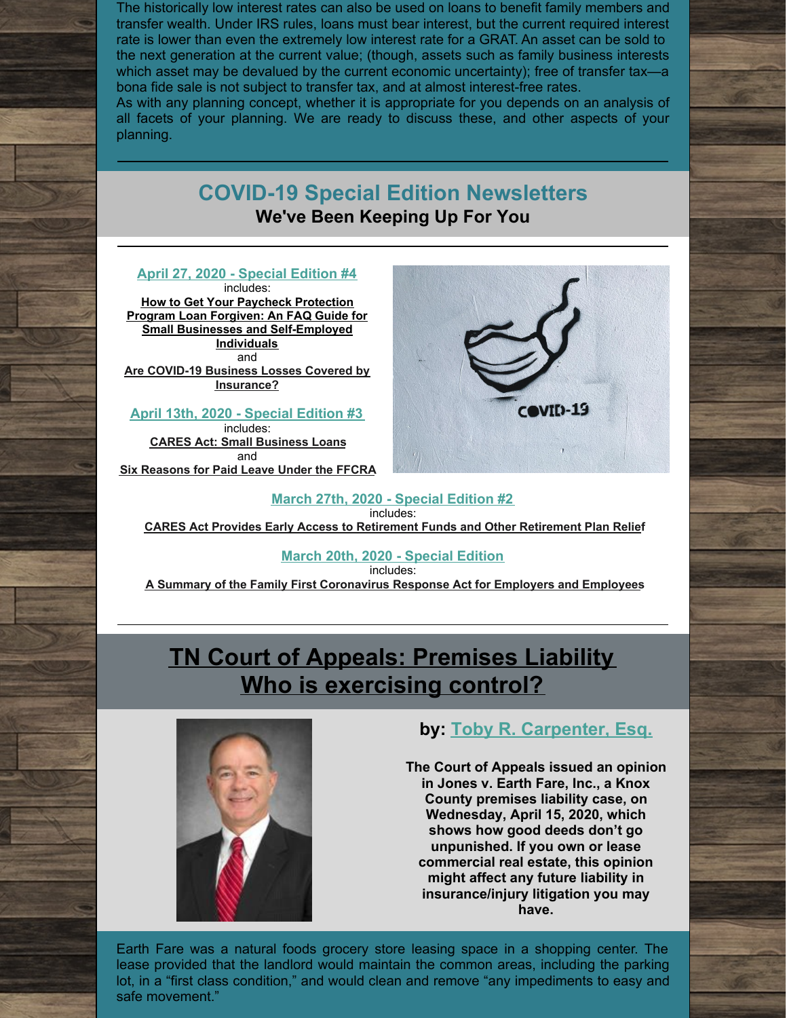The historically low interest rates can also be used on loans to benefit family members and transfer wealth. Under IRS rules, loans must bear interest, but the current required interest rate is lower than even the extremely low interest rate for a GRAT. An asset can be sold to the next generation at the current value; (though, assets such as family business interests which asset may be devalued by the current economic uncertainty); free of transfer tax—a bona fide sale is not subject to transfer tax, and at almost interest-free rates.

As with any planning concept, whether it is appropriate for you depends on an analysis of all facets of your planning. We are ready to discuss these, and other aspects of your planning.

## **COVID-19 Special Edition Newsletters We've Been Keeping Up For You**

#### **April 27, 2020 - [Special](http://www.kmfpc.com/Uploads/Files/News/COVID-19 Special Edition 4.pdf) Edition #4** includes:

**How to Get Your Paycheck Protection Program Loan Forgiven: An FAQ Guide for Small Businesses and [Self-Employed](http://www.kmfpc.com/Articles/how_to_get_your_paycheck_protection_program_loan_forgiven_an_faq_guide_for_small_businesses_and_self-employed_individuals.aspx) Individuals** and **Are COVID-19 Business Losses Covered by [Insurance?](http://www.kmfpc.com/Articles/are_covid-19_business_losses_covered_by_insurance.aspx)**

#### **April 13th, 2020 - [Special](http://www.kmfpc.com/Uploads/Files/News/CARES Act Small Business Loans.pdf) Edition #3**

includes: **CARES Act: Small [Business](http://www.kmfpc.com/Articles/cares_act_small_business_loans.aspx) Loans** and **Six [Reasons](http://www.kmfpc.com/Articles/weve_got_your_six_reasons_for_paid_sick_leave_under_the_ffcra_covered.aspx) for Paid Leave Under the FFCRA**



#### **March 27th, 2020 - [Special](http://www.kmfpc.com/Uploads/Files/News/CARES Act - COVID-19 UPDATE.pdf) Edition #2** includes: **CARES Act Provides Early Access to [Retirement](http://www.kmfpc.com/Articles/cares_act_provides_early_access_to_retirement_funds_and_other_retirement_plan_relief.aspx) Funds and Other Retirement Plan Relief**

## **March 20th, 2020 - [Special](http://www.kmfpc.com/Uploads/Files/News/COVID-19 UPDATE.pdf) Edition**

includes:

**A Summary of the Family First [Coronavirus](http://www.kmfpc.com/Articles/a_summary_of_the_family_first_coronavirus_response_act_for_employers_and_employees.aspx) Response Act for Employers and Employees**

# **TN Court of Appeals: [Premises](http://www.kmfpc.com/Articles/tn_court_of_appeals_premises_liability_-_who_is_exercising_control.aspx) Liability Who is [exercising](http://www.kmfpc.com/Articles/tn_court_of_appeals_premises_liability_-_who_is_exercising_control.aspx) control?**



## **by: Toby R. [Carpenter,](http://www.kmfpc.com/attorneys/toby_r_carpenter.aspx) Esq.**

**The Court of Appeals issued an opinion in Jones v. Earth Fare, Inc., a Knox County premises liability case, on Wednesday, April 15, 2020, which shows how good deeds don't go unpunished. If you own or lease commercial real estate, this opinion might affect any future liability in insurance/injury litigation you may have.**

Earth Fare was a natural foods grocery store leasing space in a shopping center. The lease provided that the landlord would maintain the common areas, including the parking lot, in a "first class condition," and would clean and remove "any impediments to easy and safe movement."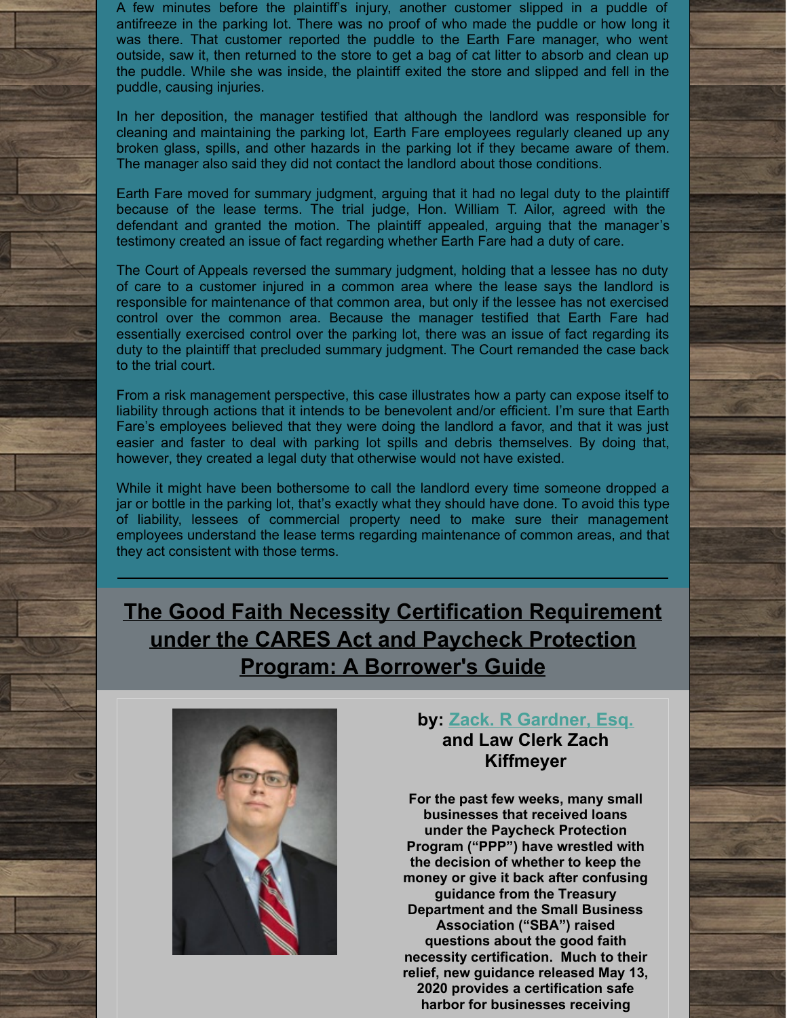A few minutes before the plaintiff's injury, another customer slipped in a puddle of antifreeze in the parking lot. There was no proof of who made the puddle or how long it was there. That customer reported the puddle to the Earth Fare manager, who went outside, saw it, then returned to the store to get a bag of cat litter to absorb and clean up the puddle. While she was inside, the plaintiff exited the store and slipped and fell in the puddle, causing injuries.

In her deposition, the manager testified that although the landlord was responsible for cleaning and maintaining the parking lot, Earth Fare employees regularly cleaned up any broken glass, spills, and other hazards in the parking lot if they became aware of them. The manager also said they did not contact the landlord about those conditions.

Earth Fare moved for summary judgment, arguing that it had no legal duty to the plaintiff because of the lease terms. The trial judge, Hon. William T. Ailor, agreed with the defendant and granted the motion. The plaintiff appealed, arguing that the manager's testimony created an issue of fact regarding whether Earth Fare had a duty of care.

The Court of Appeals reversed the summary judgment, holding that a lessee has no duty of care to a customer injured in a common area where the lease says the landlord is responsible for maintenance of that common area, but only if the lessee has not exercised control over the common area. Because the manager testified that Earth Fare had essentially exercised control over the parking lot, there was an issue of fact regarding its duty to the plaintiff that precluded summary judgment. The Court remanded the case back to the trial court.

From a risk management perspective, this case illustrates how a party can expose itself to liability through actions that it intends to be benevolent and/or efficient. I'm sure that Earth Fare's employees believed that they were doing the landlord a favor, and that it was just easier and faster to deal with parking lot spills and debris themselves. By doing that, however, they created a legal duty that otherwise would not have existed.

While it might have been bothersome to call the landlord every time someone dropped a jar or bottle in the parking lot, that's exactly what they should have done. To avoid this type of liability, lessees of commercial property need to make sure their management employees understand the lease terms regarding maintenance of common areas, and that they act consistent with those terms.

**The Good Faith Necessity Certification [Requirement](http://www.kmfpc.com/Articles/the_good_faith_necessity_certification_requirement_under_the_cares_act_and_paycheck_protection_program_a_borrowers_update.aspx) under the CARES Act and Paycheck Protection Program: A Borrower's Guide**



## **by: Zack. R [Gardner,](http://www.kmfpc.com/attorneys/zack_r_gardner.aspx) Esq. and Law Clerk Zach Kiffmeyer**

**For the past few weeks, many small businesses that received loans under the Paycheck Protection Program ("PPP") have wrestled with the decision of whether to keep the money or give it back after confusing guidance from the Treasury Department and the Small Business Association ("SBA") raised questions about the good faith necessity certification. Much to their relief, new guidance released May 13, 2020 provides a certification safe harbor for businesses receiving**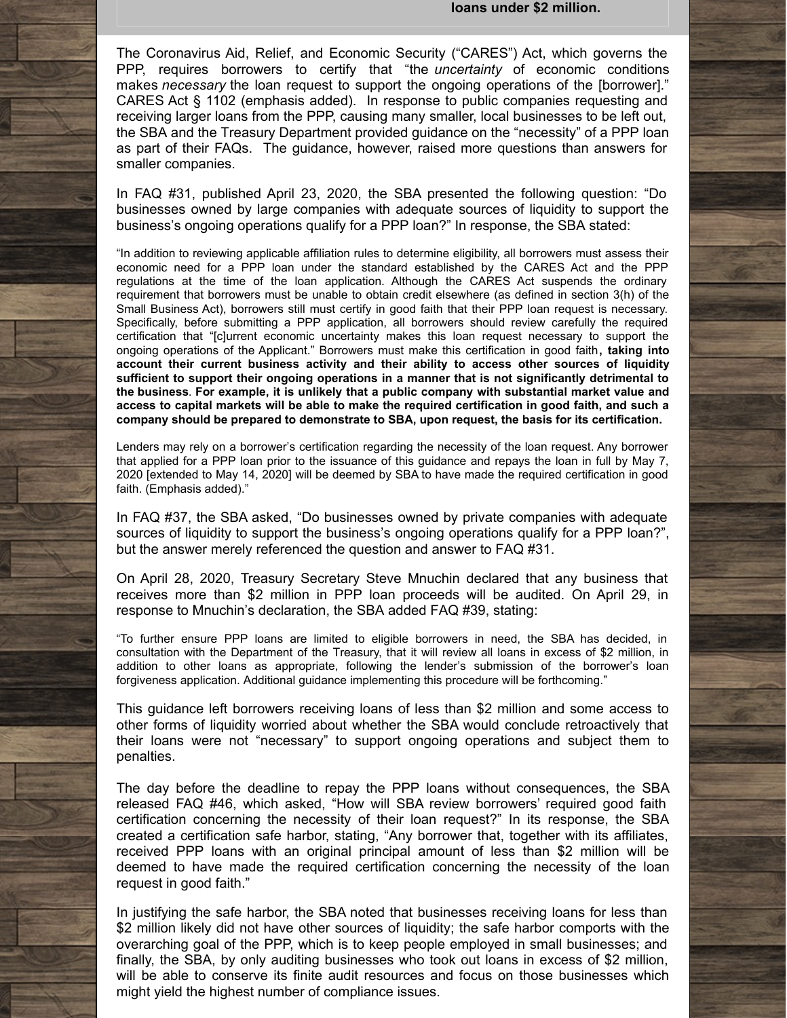The Coronavirus Aid, Relief, and Economic Security ("CARES") Act, which governs the PPP, requires borrowers to certify that "the *uncertainty* of economic conditions makes *necessary* the loan request to support the ongoing operations of the [borrower]." CARES Act § 1102 (emphasis added). In response to public companies requesting and receiving larger loans from the PPP, causing many smaller, local businesses to be left out, the SBA and the Treasury Department provided guidance on the "necessity" of a PPP loan as part of their FAQs. The guidance, however, raised more questions than answers for smaller companies.

In FAQ #31, published April 23, 2020, the SBA presented the following question: "Do businesses owned by large companies with adequate sources of liquidity to support the business's ongoing operations qualify for a PPP loan?" In response, the SBA stated:

"In addition to reviewing applicable affiliation rules to determine eligibility, all borrowers must assess their economic need for a PPP loan under the standard established by the CARES Act and the PPP regulations at the time of the loan application. Although the CARES Act suspends the ordinary requirement that borrowers must be unable to obtain credit elsewhere (as defined in section 3(h) of the Small Business Act), borrowers still must certify in good faith that their PPP loan request is necessary. Specifically, before submitting a PPP application, all borrowers should review carefully the required certification that "[c]urrent economic uncertainty makes this loan request necessary to support the ongoing operations of the Applicant." Borrowers must make this certification in good faith**, taking into account their current business activity and their ability to access other sources of liquidity sufficient to support their ongoing operations in a manner that is not significantly detrimental to the business**. **For example, it is unlikely that a public company with substantial market value and** access to capital markets will be able to make the required certification in good faith, and such a **company should be prepared to demonstrate to SBA, upon request, the basis for its certification.**

Lenders may rely on a borrower's certification regarding the necessity of the loan request. Any borrower that applied for a PPP loan prior to the issuance of this guidance and repays the loan in full by May 7, 2020 [extended to May 14, 2020] will be deemed by SBA to have made the required certification in good faith. (Emphasis added)."

In FAQ #37, the SBA asked, "Do businesses owned by private companies with adequate sources of liquidity to support the business's ongoing operations qualify for a PPP loan?", but the answer merely referenced the question and answer to FAQ #31.

On April 28, 2020, Treasury Secretary Steve Mnuchin declared that any business that receives more than \$2 million in PPP loan proceeds will be audited. On April 29, in response to Mnuchin's declaration, the SBA added FAQ #39, stating:

"To further ensure PPP loans are limited to eligible borrowers in need, the SBA has decided, in consultation with the Department of the Treasury, that it will review all loans in excess of \$2 million, in addition to other loans as appropriate, following the lender's submission of the borrower's loan forgiveness application. Additional guidance implementing this procedure will be forthcoming."

This guidance left borrowers receiving loans of less than \$2 million and some access to other forms of liquidity worried about whether the SBA would conclude retroactively that their loans were not "necessary" to support ongoing operations and subject them to penalties.

The day before the deadline to repay the PPP loans without consequences, the SBA released FAQ #46, which asked, "How will SBA review borrowers' required good faith certification concerning the necessity of their loan request?" In its response, the SBA created a certification safe harbor, stating, "Any borrower that, together with its affiliates, received PPP loans with an original principal amount of less than \$2 million will be deemed to have made the required certification concerning the necessity of the loan request in good faith."

In justifying the safe harbor, the SBA noted that businesses receiving loans for less than \$2 million likely did not have other sources of liquidity; the safe harbor comports with the overarching goal of the PPP, which is to keep people employed in small businesses; and finally, the SBA, by only auditing businesses who took out loans in excess of \$2 million, will be able to conserve its finite audit resources and focus on those businesses which might yield the highest number of compliance issues.